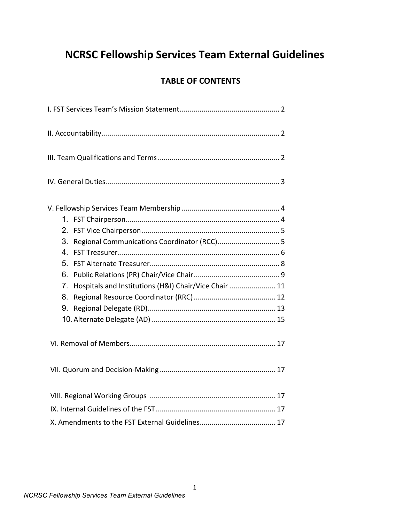# **NCRSC Fellowship Services Team External Guidelines**

## **TABLE OF CONTENTS**

| 1.<br>2.<br>Regional Communications Coordinator (RCC) 5<br>3.<br>4 <sub>1</sub><br>5.<br>6.<br>Hospitals and Institutions (H&I) Chair/Vice Chair  11<br>7 <sub>1</sub><br>8.<br>9. |
|------------------------------------------------------------------------------------------------------------------------------------------------------------------------------------|
|                                                                                                                                                                                    |
|                                                                                                                                                                                    |
|                                                                                                                                                                                    |
|                                                                                                                                                                                    |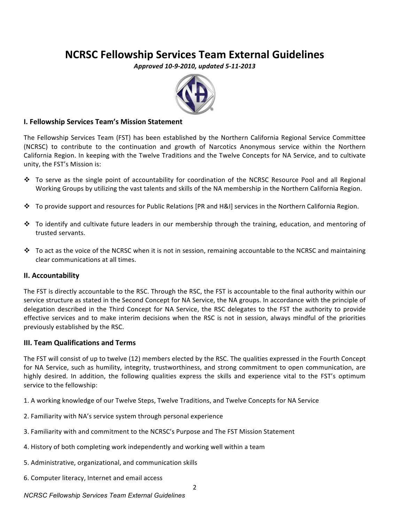## **NCRSC Fellowship Services Team External Guidelines**

*Approved 10-9-2010, updated 5-11-2013*



## **I. Fellowship Services Team's Mission Statement**

The Fellowship Services Team (FST) has been established by the Northern California Regional Service Committee (NCRSC) to contribute to the continuation and growth of Narcotics Anonymous service within the Northern California Region. In keeping with the Twelve Traditions and the Twelve Concepts for NA Service, and to cultivate unity, the FST's Mission is:

- $\cdot$  To serve as the single point of accountability for coordination of the NCRSC Resource Pool and all Regional Working Groups by utilizing the vast talents and skills of the NA membership in the Northern California Region.
- \* To provide support and resources for Public Relations [PR and H&I] services in the Northern California Region.
- $\cdot$  To identify and cultivate future leaders in our membership through the training, education, and mentoring of trusted servants.
- $\cdot$  To act as the voice of the NCRSC when it is not in session, remaining accountable to the NCRSC and maintaining clear communications at all times.

## **II. Accountability**

The FST is directly accountable to the RSC. Through the RSC, the FST is accountable to the final authority within our service structure as stated in the Second Concept for NA Service, the NA groups. In accordance with the principle of delegation described in the Third Concept for NA Service, the RSC delegates to the FST the authority to provide effective services and to make interim decisions when the RSC is not in session, always mindful of the priorities previously established by the RSC.

## **III. Team Qualifications and Terms**

The FST will consist of up to twelve (12) members elected by the RSC. The qualities expressed in the Fourth Concept for NA Service, such as humility, integrity, trustworthiness, and strong commitment to open communication, are highly desired. In addition, the following qualities express the skills and experience vital to the FST's optimum service to the fellowship:

1. A working knowledge of our Twelve Steps, Twelve Traditions, and Twelve Concepts for NA Service

- 2. Familiarity with NA's service system through personal experience
- 3. Familiarity with and commitment to the NCRSC's Purpose and The FST Mission Statement
- 4. History of both completing work independently and working well within a team
- 5. Administrative, organizational, and communication skills
- 6. Computer literacy, Internet and email access

2

## *NCRSC Fellowship Services Team External Guidelines*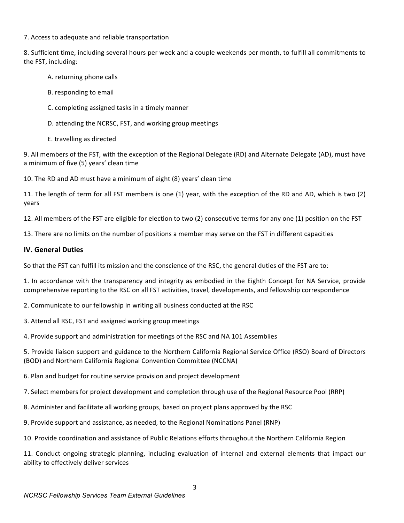## 7. Access to adequate and reliable transportation

8. Sufficient time, including several hours per week and a couple weekends per month, to fulfill all commitments to the FST, including:

- A. returning phone calls
- B. responding to email
- C. completing assigned tasks in a timely manner
- D. attending the NCRSC, FST, and working group meetings
- E. travelling as directed

9. All members of the FST, with the exception of the Regional Delegate (RD) and Alternate Delegate (AD), must have a minimum of five (5) years' clean time

10. The RD and AD must have a minimum of eight (8) years' clean time

11. The length of term for all FST members is one (1) year, with the exception of the RD and AD, which is two (2) years

12. All members of the FST are eligible for election to two (2) consecutive terms for any one (1) position on the FST

13. There are no limits on the number of positions a member may serve on the FST in different capacities

## **IV. General Duties**

So that the FST can fulfill its mission and the conscience of the RSC, the general duties of the FST are to:

1. In accordance with the transparency and integrity as embodied in the Eighth Concept for NA Service, provide comprehensive reporting to the RSC on all FST activities, travel, developments, and fellowship correspondence

2. Communicate to our fellowship in writing all business conducted at the RSC

3. Attend all RSC, FST and assigned working group meetings

4. Provide support and administration for meetings of the RSC and NA 101 Assemblies

5. Provide liaison support and guidance to the Northern California Regional Service Office (RSO) Board of Directors (BOD) and Northern California Regional Convention Committee (NCCNA)

6. Plan and budget for routine service provision and project development

7. Select members for project development and completion through use of the Regional Resource Pool (RRP)

- 8. Administer and facilitate all working groups, based on project plans approved by the RSC
- 9. Provide support and assistance, as needed, to the Regional Nominations Panel (RNP)
- 10. Provide coordination and assistance of Public Relations efforts throughout the Northern California Region

11. Conduct ongoing strategic planning, including evaluation of internal and external elements that impact our ability to effectively deliver services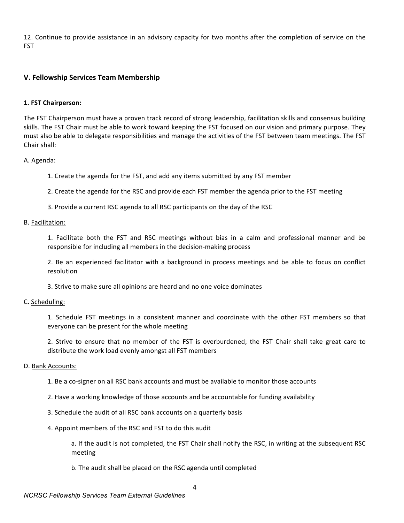12. Continue to provide assistance in an advisory capacity for two months after the completion of service on the FST

## **V. Fellowship Services Team Membership**

## **1. FST Chairperson:**

The FST Chairperson must have a proven track record of strong leadership, facilitation skills and consensus building skills. The FST Chair must be able to work toward keeping the FST focused on our vision and primary purpose. They must also be able to delegate responsibilities and manage the activities of the FST between team meetings. The FST Chair shall:

## A. Agenda:

1. Create the agenda for the FST, and add any items submitted by any FST member

2. Create the agenda for the RSC and provide each FST member the agenda prior to the FST meeting

3. Provide a current RSC agenda to all RSC participants on the day of the RSC

## B. Facilitation:

1. Facilitate both the FST and RSC meetings without bias in a calm and professional manner and be responsible for including all members in the decision-making process

2. Be an experienced facilitator with a background in process meetings and be able to focus on conflict resolution

3. Strive to make sure all opinions are heard and no one voice dominates

#### C. Scheduling:

1. Schedule FST meetings in a consistent manner and coordinate with the other FST members so that everyone can be present for the whole meeting

2. Strive to ensure that no member of the FST is overburdened; the FST Chair shall take great care to distribute the work load evenly amongst all FST members

#### D. Bank Accounts:

1. Be a co-signer on all RSC bank accounts and must be available to monitor those accounts

- 2. Have a working knowledge of those accounts and be accountable for funding availability
- 3. Schedule the audit of all RSC bank accounts on a quarterly basis
- 4. Appoint members of the RSC and FST to do this audit

a. If the audit is not completed, the FST Chair shall notify the RSC, in writing at the subsequent RSC meeting

b. The audit shall be placed on the RSC agenda until completed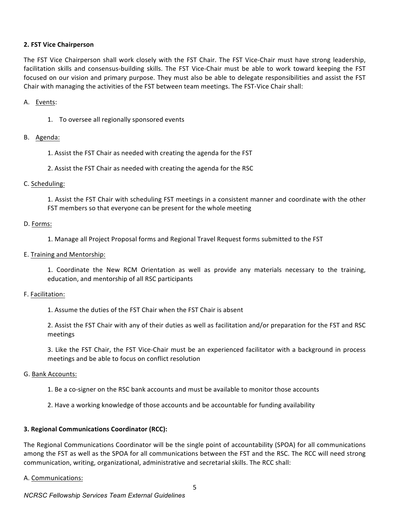## **2. FST Vice Chairperson**

The FST Vice Chairperson shall work closely with the FST Chair. The FST Vice-Chair must have strong leadership, facilitation skills and consensus-building skills. The FST Vice-Chair must be able to work toward keeping the FST focused on our vision and primary purpose. They must also be able to delegate responsibilities and assist the FST Chair with managing the activities of the FST between team meetings. The FST-Vice Chair shall:

#### A. Events:

1. To oversee all regionally sponsored events

#### B. Agenda:

1. Assist the FST Chair as needed with creating the agenda for the FST

2. Assist the FST Chair as needed with creating the agenda for the RSC

## C. Scheduling:

1. Assist the FST Chair with scheduling FST meetings in a consistent manner and coordinate with the other FST members so that everyone can be present for the whole meeting

#### D. Forms:

1. Manage all Project Proposal forms and Regional Travel Request forms submitted to the FST

## E. Training and Mentorship:

1. Coordinate the New RCM Orientation as well as provide any materials necessary to the training, education, and mentorship of all RSC participants

#### F. Facilitation:

1. Assume the duties of the FST Chair when the FST Chair is absent

2. Assist the FST Chair with any of their duties as well as facilitation and/or preparation for the FST and RSC meetings

3. Like the FST Chair, the FST Vice-Chair must be an experienced facilitator with a background in process meetings and be able to focus on conflict resolution

#### G. Bank Accounts:

- 1. Be a co-signer on the RSC bank accounts and must be available to monitor those accounts
- 2. Have a working knowledge of those accounts and be accountable for funding availability

#### **3. Regional Communications Coordinator (RCC):**

The Regional Communications Coordinator will be the single point of accountability (SPOA) for all communications among the FST as well as the SPOA for all communications between the FST and the RSC. The RCC will need strong communication, writing, organizational, administrative and secretarial skills. The RCC shall:

#### A. Communications: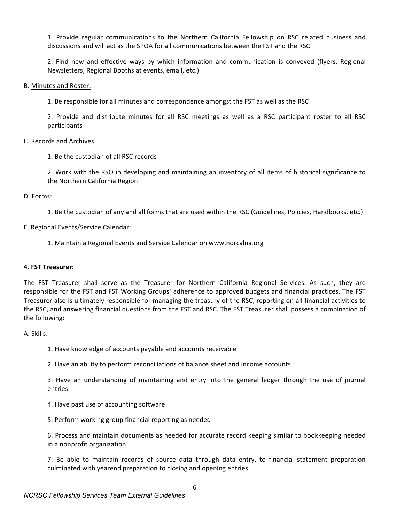1. Provide regular communications to the Northern California Fellowship on RSC related business and discussions and will act as the SPOA for all communications between the FST and the RSC

2. Find new and effective ways by which information and communication is conveyed (flyers, Regional Newsletters, Regional Booths at events, email, etc.)

#### B. Minutes and Roster:

1. Be responsible for all minutes and correspondence amongst the FST as well as the RSC

2. Provide and distribute minutes for all RSC meetings as well as a RSC participant roster to all RSC participants

## C. Records and Archives:

1. Be the custodian of all RSC records

2. Work with the RSO in developing and maintaining an inventory of all items of historical significance to the Northern California Region

## D. Forms:

1. Be the custodian of any and all forms that are used within the RSC (Guidelines, Policies, Handbooks, etc.)

## E. Regional Events/Service Calendar:

1. Maintain a Regional Events and Service Calendar on www.norcalna.org

## **4. FST Treasurer:**

The FST Treasurer shall serve as the Treasurer for Northern California Regional Services. As such, they are responsible for the FST and FST Working Groups' adherence to approved budgets and financial practices. The FST Treasurer also is ultimately responsible for managing the treasury of the RSC, reporting on all financial activities to the RSC, and answering financial questions from the FST and RSC. The FST Treasurer shall possess a combination of the following:

## A. Skills:

1. Have knowledge of accounts payable and accounts receivable

2. Have an ability to perform reconciliations of balance sheet and income accounts

3. Have an understanding of maintaining and entry into the general ledger through the use of journal entries

- 4. Have past use of accounting software
- 5. Perform working group financial reporting as needed

6. Process and maintain documents as needed for accurate record keeping similar to bookkeeping needed in a nonprofit organization

7. Be able to maintain records of source data through data entry, to financial statement preparation culminated with yearend preparation to closing and opening entries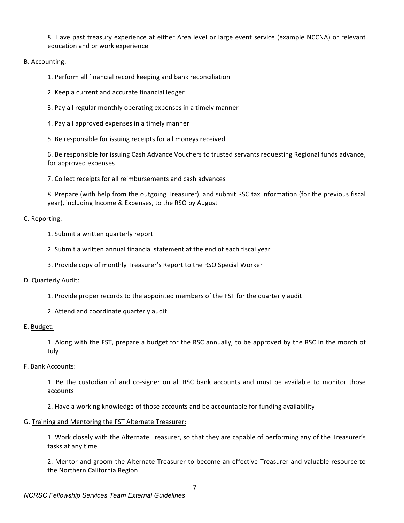8. Have past treasury experience at either Area level or large event service (example NCCNA) or relevant education and or work experience

## B. Accounting:

1. Perform all financial record keeping and bank reconciliation

- 2. Keep a current and accurate financial ledger
- 3. Pay all regular monthly operating expenses in a timely manner
- 4. Pay all approved expenses in a timely manner
- 5. Be responsible for issuing receipts for all moneys received

6. Be responsible for issuing Cash Advance Vouchers to trusted servants requesting Regional funds advance, for approved expenses

7. Collect receipts for all reimbursements and cash advances

8. Prepare (with help from the outgoing Treasurer), and submit RSC tax information (for the previous fiscal year), including Income & Expenses, to the RSO by August

## C. Reporting:

- 1. Submit a written quarterly report
- 2. Submit a written annual financial statement at the end of each fiscal year
- 3. Provide copy of monthly Treasurer's Report to the RSO Special Worker

#### D. Quarterly Audit:

- 1. Provide proper records to the appointed members of the FST for the quarterly audit
- 2. Attend and coordinate quarterly audit

#### E. Budget:

1. Along with the FST, prepare a budget for the RSC annually, to be approved by the RSC in the month of July

F. Bank Accounts:

1. Be the custodian of and co-signer on all RSC bank accounts and must be available to monitor those accounts

2. Have a working knowledge of those accounts and be accountable for funding availability

#### G. Training and Mentoring the FST Alternate Treasurer:

1. Work closely with the Alternate Treasurer, so that they are capable of performing any of the Treasurer's tasks at any time

2. Mentor and groom the Alternate Treasurer to become an effective Treasurer and valuable resource to the Northern California Region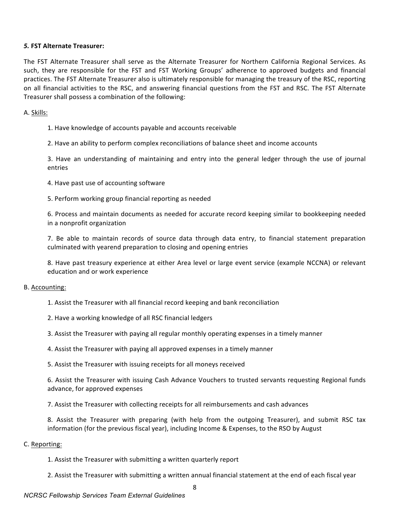## *5.* **FST Alternate Treasurer:**

The FST Alternate Treasurer shall serve as the Alternate Treasurer for Northern California Regional Services. As such, they are responsible for the FST and FST Working Groups' adherence to approved budgets and financial practices. The FST Alternate Treasurer also is ultimately responsible for managing the treasury of the RSC, reporting on all financial activities to the RSC, and answering financial questions from the FST and RSC. The FST Alternate Treasurer shall possess a combination of the following:

## A. Skills:

- 1. Have knowledge of accounts payable and accounts receivable
- 2. Have an ability to perform complex reconciliations of balance sheet and income accounts

3. Have an understanding of maintaining and entry into the general ledger through the use of journal entries

- 4. Have past use of accounting software
- 5. Perform working group financial reporting as needed

6. Process and maintain documents as needed for accurate record keeping similar to bookkeeping needed in a nonprofit organization

7. Be able to maintain records of source data through data entry, to financial statement preparation culminated with yearend preparation to closing and opening entries

8. Have past treasury experience at either Area level or large event service (example NCCNA) or relevant education and or work experience

## B. Accounting:

- 1. Assist the Treasurer with all financial record keeping and bank reconciliation
- 2. Have a working knowledge of all RSC financial ledgers
- 3. Assist the Treasurer with paying all regular monthly operating expenses in a timely manner

4. Assist the Treasurer with paying all approved expenses in a timely manner

5. Assist the Treasurer with issuing receipts for all moneys received

6. Assist the Treasurer with issuing Cash Advance Vouchers to trusted servants requesting Regional funds advance, for approved expenses

7. Assist the Treasurer with collecting receipts for all reimbursements and cash advances

8. Assist the Treasurer with preparing (with help from the outgoing Treasurer), and submit RSC tax information (for the previous fiscal year), including Income & Expenses, to the RSO by August

#### C. Reporting:

1. Assist the Treasurer with submitting a written quarterly report

2. Assist the Treasurer with submitting a written annual financial statement at the end of each fiscal year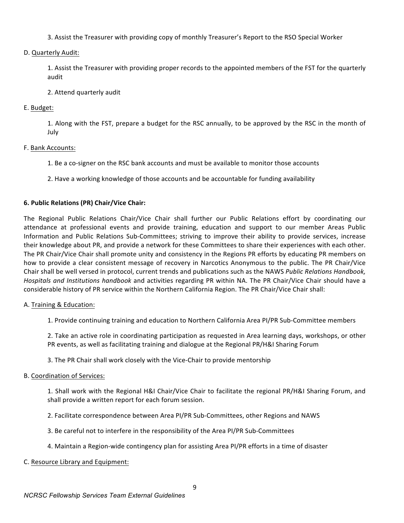3. Assist the Treasurer with providing copy of monthly Treasurer's Report to the RSO Special Worker

## D. Quarterly Audit:

1. Assist the Treasurer with providing proper records to the appointed members of the FST for the quarterly audit

## 2. Attend quarterly audit

## E. Budget:

1. Along with the FST, prepare a budget for the RSC annually, to be approved by the RSC in the month of July

## F. Bank Accounts:

- 1. Be a co-signer on the RSC bank accounts and must be available to monitor those accounts
- 2. Have a working knowledge of those accounts and be accountable for funding availability

## **6. Public Relations (PR) Chair/Vice Chair:**

The Regional Public Relations Chair/Vice Chair shall further our Public Relations effort by coordinating our attendance at professional events and provide training, education and support to our member Areas Public Information and Public Relations Sub-Committees; striving to improve their ability to provide services, increase their knowledge about PR, and provide a network for these Committees to share their experiences with each other. The PR Chair/Vice Chair shall promote unity and consistency in the Regions PR efforts by educating PR members on how to provide a clear consistent message of recovery in Narcotics Anonymous to the public. The PR Chair/Vice Chair shall be well versed in protocol, current trends and publications such as the NAWS *Public Relations Handbook*, *Hospitals and Institutions handbook* and activities regarding PR within NA. The PR Chair/Vice Chair should have a considerable history of PR service within the Northern California Region. The PR Chair/Vice Chair shall:

## A. Training & Education:

1. Provide continuing training and education to Northern California Area PI/PR Sub-Committee members

2. Take an active role in coordinating participation as requested in Area learning days, workshops, or other PR events, as well as facilitating training and dialogue at the Regional PR/H&I Sharing Forum

3. The PR Chair shall work closely with the Vice-Chair to provide mentorship

## B. Coordination of Services:

1. Shall work with the Regional H&I Chair/Vice Chair to facilitate the regional PR/H&I Sharing Forum, and shall provide a written report for each forum session.

- 2. Facilitate correspondence between Area PI/PR Sub-Committees, other Regions and NAWS
- 3. Be careful not to interfere in the responsibility of the Area PI/PR Sub-Committees
- 4. Maintain a Region-wide contingency plan for assisting Area PI/PR efforts in a time of disaster

## C. Resource Library and Equipment: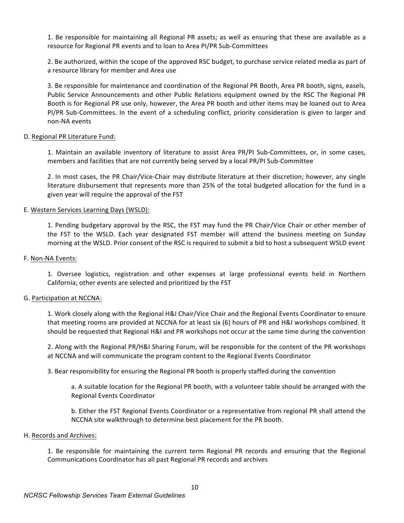1. Be responsible for maintaining all Regional PR assets; as well as ensuring that these are available as a resource for Regional PR events and to loan to Area PI/PR Sub-Committees

2. Be authorized, within the scope of the approved RSC budget, to purchase service related media as part of a resource library for member and Area use

3. Be responsible for maintenance and coordination of the Regional PR Booth, Area PR booth, signs, easels, Public Service Announcements and other Public Relations equipment owned by the RSC The Regional PR Booth is for Regional PR use only, however, the Area PR booth and other items may be loaned out to Area PI/PR Sub-Committees. In the event of a scheduling conflict, priority consideration is given to larger and non-NA events

## D. Regional PR Literature Fund:

1. Maintain an available inventory of literature to assist Area PR/PI Sub-Committees, or, in some cases, members and facilities that are not currently being served by a local PR/PI Sub-Committee

2. In most cases, the PR Chair/Vice-Chair may distribute literature at their discretion; however, any single literature disbursement that represents more than 25% of the total budgeted allocation for the fund in a given year will require the approval of the FST

## E. Western Services Learning Days (WSLD):

1. Pending budgetary approval by the RSC, the FST may fund the PR Chair/Vice Chair or other member of the FST to the WSLD. Each year designated FST member will attend the business meeting on Sunday morning at the WSLD. Prior consent of the RSC is required to submit a bid to host a subsequent WSLD event

#### F. Non-NA Events:

1. Oversee logistics, registration and other expenses at large professional events held in Northern California; other events are selected and prioritized by the FST

#### G. Participation at NCCNA:

1. Work closely along with the Regional H&I Chair/Vice Chair and the Regional Events Coordinator to ensure that meeting rooms are provided at NCCNA for at least six (6) hours of PR and H&I workshops combined. It should be requested that Regional H&I and PR workshops not occur at the same time during the convention

2. Along with the Regional PR/H&I Sharing Forum, will be responsible for the content of the PR workshops at NCCNA and will communicate the program content to the Regional Events Coordinator

3. Bear responsibility for ensuring the Regional PR booth is properly staffed during the convention

a. A suitable location for the Regional PR booth, with a volunteer table should be arranged with the Regional Events Coordinator

b. Either the FST Regional Events Coordinator or a representative from regional PR shall attend the NCCNA site walkthrough to determine best placement for the PR booth.

#### H. Records and Archives:

1. Be responsible for maintaining the current term Regional PR records and ensuring that the Regional Communications Coordinator has all past Regional PR records and archives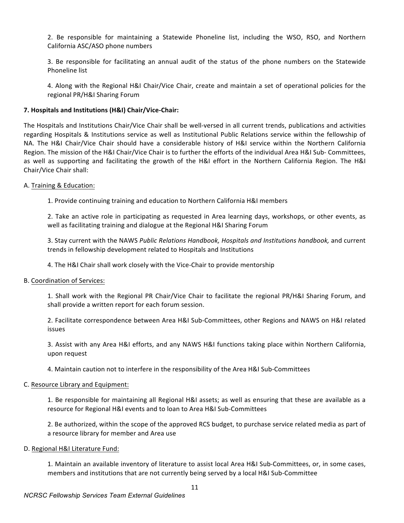2. Be responsible for maintaining a Statewide Phoneline list, including the WSO, RSO, and Northern California ASC/ASO phone numbers

3. Be responsible for facilitating an annual audit of the status of the phone numbers on the Statewide Phoneline list

4. Along with the Regional H&I Chair/Vice Chair, create and maintain a set of operational policies for the regional PR/H&I Sharing Forum

## **7. Hospitals and Institutions (H&I) Chair/Vice-Chair:**

The Hospitals and Institutions Chair/Vice Chair shall be well-versed in all current trends, publications and activities regarding Hospitals & Institutions service as well as Institutional Public Relations service within the fellowship of NA. The H&I Chair/Vice Chair should have a considerable history of H&I service within the Northern California Region. The mission of the H&I Chair/Vice Chair is to further the efforts of the individual Area H&I Sub- Committees, as well as supporting and facilitating the growth of the H&I effort in the Northern California Region. The H&I Chair/Vice Chair shall:

## A. Training & Education:

1. Provide continuing training and education to Northern California H&I members

2. Take an active role in participating as requested in Area learning days, workshops, or other events, as well as facilitating training and dialogue at the Regional H&I Sharing Forum

3. Stay current with the NAWS Public Relations Handbook, Hospitals and Institutions handbook, and current trends in fellowship development related to Hospitals and Institutions

4. The H&I Chair shall work closely with the Vice-Chair to provide mentorship

#### B. Coordination of Services:

1. Shall work with the Regional PR Chair/Vice Chair to facilitate the regional PR/H&I Sharing Forum, and shall provide a written report for each forum session.

2. Facilitate correspondence between Area H&I Sub-Committees, other Regions and NAWS on H&I related issues

3. Assist with any Area H&I efforts, and any NAWS H&I functions taking place within Northern California, upon request

4. Maintain caution not to interfere in the responsibility of the Area H&I Sub-Committees

#### C. Resource Library and Equipment:

1. Be responsible for maintaining all Regional H&I assets; as well as ensuring that these are available as a resource for Regional H&I events and to loan to Area H&I Sub-Committees

2. Be authorized, within the scope of the approved RCS budget, to purchase service related media as part of a resource library for member and Area use

#### D. Regional H&I Literature Fund:

1. Maintain an available inventory of literature to assist local Area H&I Sub-Committees, or, in some cases, members and institutions that are not currently being served by a local H&I Sub-Committee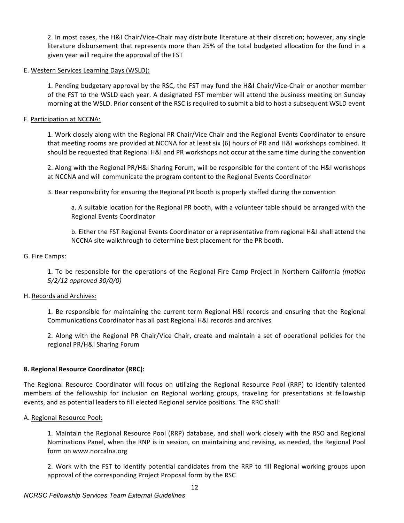2. In most cases, the H&I Chair/Vice-Chair may distribute literature at their discretion; however, any single literature disbursement that represents more than 25% of the total budgeted allocation for the fund in a given year will require the approval of the FST

## E. Western Services Learning Days (WSLD):

1. Pending budgetary approval by the RSC, the FST may fund the H&I Chair/Vice-Chair or another member of the FST to the WSLD each year. A designated FST member will attend the business meeting on Sunday morning at the WSLD. Prior consent of the RSC is required to submit a bid to host a subsequent WSLD event

## F. Participation at NCCNA:

1. Work closely along with the Regional PR Chair/Vice Chair and the Regional Events Coordinator to ensure that meeting rooms are provided at NCCNA for at least six (6) hours of PR and H&I workshops combined. It should be requested that Regional H&I and PR workshops not occur at the same time during the convention

2. Along with the Regional PR/H&I Sharing Forum, will be responsible for the content of the H&I workshops at NCCNA and will communicate the program content to the Regional Events Coordinator

3. Bear responsibility for ensuring the Regional PR booth is properly staffed during the convention

a. A suitable location for the Regional PR booth, with a volunteer table should be arranged with the Regional Events Coordinator

b. Either the FST Regional Events Coordinator or a representative from regional H&I shall attend the NCCNA site walkthrough to determine best placement for the PR booth.

## G. Fire Camps:

1. To be responsible for the operations of the Regional Fire Camp Project in Northern California (motion *5/2/12 approved 30/0/0)*

## H. Records and Archives:

1. Be responsible for maintaining the current term Regional H&I records and ensuring that the Regional Communications Coordinator has all past Regional H&I records and archives

2. Along with the Regional PR Chair/Vice Chair, create and maintain a set of operational policies for the regional PR/H&I Sharing Forum

## **8. Regional Resource Coordinator (RRC):**

The Regional Resource Coordinator will focus on utilizing the Regional Resource Pool (RRP) to identify talented members of the fellowship for inclusion on Regional working groups, traveling for presentations at fellowship events, and as potential leaders to fill elected Regional service positions. The RRC shall:

#### A. Regional Resource Pool:

1. Maintain the Regional Resource Pool (RRP) database, and shall work closely with the RSO and Regional Nominations Panel, when the RNP is in session, on maintaining and revising, as needed, the Regional Pool form on www.norcalna.org

2. Work with the FST to identify potential candidates from the RRP to fill Regional working groups upon approval of the corresponding Project Proposal form by the RSC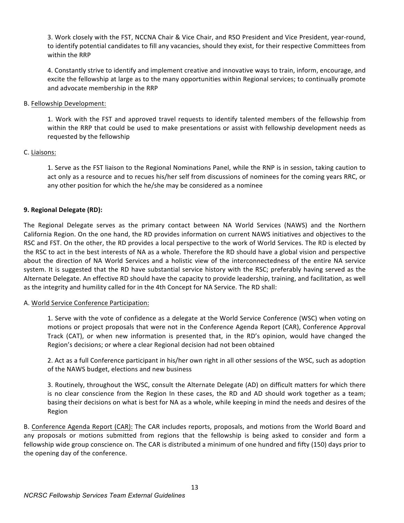3. Work closely with the FST, NCCNA Chair & Vice Chair, and RSO President and Vice President, year-round, to identify potential candidates to fill any vacancies, should they exist, for their respective Committees from within the RRP

4. Constantly strive to identify and implement creative and innovative ways to train, inform, encourage, and excite the fellowship at large as to the many opportunities within Regional services; to continually promote and advocate membership in the RRP

## B. Fellowship Development:

1. Work with the FST and approved travel requests to identify talented members of the fellowship from within the RRP that could be used to make presentations or assist with fellowship development needs as requested by the fellowship

## C. Liaisons:

1. Serve as the FST liaison to the Regional Nominations Panel, while the RNP is in session, taking caution to act only as a resource and to recues his/her self from discussions of nominees for the coming years RRC, or any other position for which the he/she may be considered as a nominee

## **9. Regional Delegate (RD):**

The Regional Delegate serves as the primary contact between NA World Services (NAWS) and the Northern California Region. On the one hand, the RD provides information on current NAWS initiatives and objectives to the RSC and FST. On the other, the RD provides a local perspective to the work of World Services. The RD is elected by the RSC to act in the best interests of NA as a whole. Therefore the RD should have a global vision and perspective about the direction of NA World Services and a holistic view of the interconnectedness of the entire NA service system. It is suggested that the RD have substantial service history with the RSC; preferably having served as the Alternate Delegate. An effective RD should have the capacity to provide leadership, training, and facilitation, as well as the integrity and humility called for in the 4th Concept for NA Service. The RD shall:

## A. World Service Conference Participation:

1. Serve with the vote of confidence as a delegate at the World Service Conference (WSC) when voting on motions or project proposals that were not in the Conference Agenda Report (CAR), Conference Approval Track (CAT), or when new information is presented that, in the RD's opinion, would have changed the Region's decisions; or where a clear Regional decision had not been obtained

2. Act as a full Conference participant in his/her own right in all other sessions of the WSC, such as adoption of the NAWS budget, elections and new business

3. Routinely, throughout the WSC, consult the Alternate Delegate (AD) on difficult matters for which there is no clear conscience from the Region In these cases, the RD and AD should work together as a team; basing their decisions on what is best for NA as a whole, while keeping in mind the needs and desires of the Region

B. Conference Agenda Report (CAR): The CAR includes reports, proposals, and motions from the World Board and any proposals or motions submitted from regions that the fellowship is being asked to consider and form a fellowship wide group conscience on. The CAR is distributed a minimum of one hundred and fifty (150) days prior to the opening day of the conference.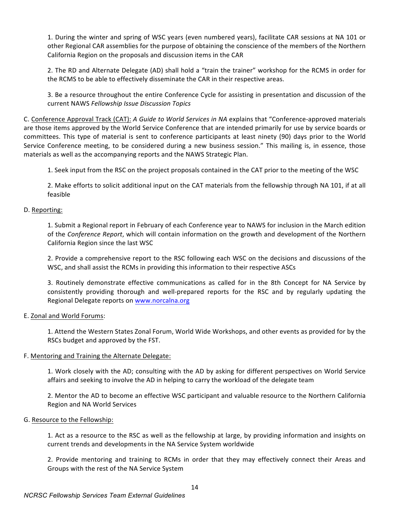1. During the winter and spring of WSC years (even numbered years), facilitate CAR sessions at NA 101 or other Regional CAR assemblies for the purpose of obtaining the conscience of the members of the Northern California Region on the proposals and discussion items in the CAR

2. The RD and Alternate Delegate (AD) shall hold a "train the trainer" workshop for the RCMS in order for the RCMS to be able to effectively disseminate the CAR in their respective areas.

3. Be a resource throughout the entire Conference Cycle for assisting in presentation and discussion of the current NAWS *Fellowship Issue Discussion Topics*

C. Conference Approval Track (CAT): *A Guide to World Services in NA* explains that "Conference-approved materials are those items approved by the World Service Conference that are intended primarily for use by service boards or committees. This type of material is sent to conference participants at least ninety (90) days prior to the World Service Conference meeting, to be considered during a new business session." This mailing is, in essence, those materials as well as the accompanying reports and the NAWS Strategic Plan.

1. Seek input from the RSC on the project proposals contained in the CAT prior to the meeting of the WSC

2. Make efforts to solicit additional input on the CAT materials from the fellowship through NA 101, if at all feasible

## D. Reporting:

1. Submit a Regional report in February of each Conference year to NAWS for inclusion in the March edition of the *Conference Report*, which will contain information on the growth and development of the Northern California Region since the last WSC

2. Provide a comprehensive report to the RSC following each WSC on the decisions and discussions of the WSC, and shall assist the RCMs in providing this information to their respective ASCs

3. Routinely demonstrate effective communications as called for in the 8th Concept for NA Service by consistently providing thorough and well-prepared reports for the RSC and by regularly updating the Regional Delegate reports on www.norcalna.org

## E. Zonal and World Forums:

1. Attend the Western States Zonal Forum, World Wide Workshops, and other events as provided for by the RSCs budget and approved by the FST.

## F. Mentoring and Training the Alternate Delegate:

1. Work closely with the AD; consulting with the AD by asking for different perspectives on World Service affairs and seeking to involve the AD in helping to carry the workload of the delegate team

2. Mentor the AD to become an effective WSC participant and valuable resource to the Northern California Region and NA World Services

#### G. Resource to the Fellowship:

1. Act as a resource to the RSC as well as the fellowship at large, by providing information and insights on current trends and developments in the NA Service System worldwide

2. Provide mentoring and training to RCMs in order that they may effectively connect their Areas and Groups with the rest of the NA Service System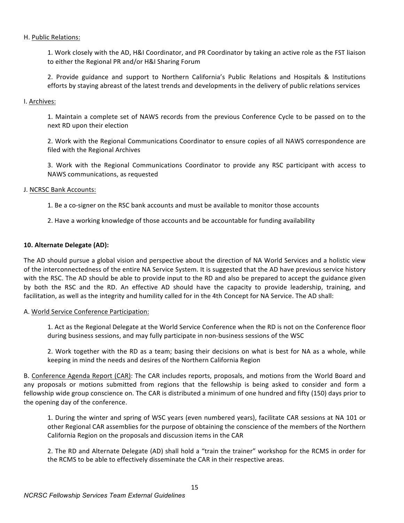## H. Public Relations:

1. Work closely with the AD, H&I Coordinator, and PR Coordinator by taking an active role as the FST liaison to either the Regional PR and/or H&I Sharing Forum

2. Provide guidance and support to Northern California's Public Relations and Hospitals & Institutions efforts by staying abreast of the latest trends and developments in the delivery of public relations services

## I. Archives:

1. Maintain a complete set of NAWS records from the previous Conference Cycle to be passed on to the next RD upon their election

2. Work with the Regional Communications Coordinator to ensure copies of all NAWS correspondence are filed with the Regional Archives

3. Work with the Regional Communications Coordinator to provide any RSC participant with access to NAWS communications, as requested

## J. NCRSC Bank Accounts:

- 1. Be a co-signer on the RSC bank accounts and must be available to monitor those accounts
- 2. Have a working knowledge of those accounts and be accountable for funding availability

## **10. Alternate Delegate (AD):**

The AD should pursue a global vision and perspective about the direction of NA World Services and a holistic view of the interconnectedness of the entire NA Service System. It is suggested that the AD have previous service history with the RSC. The AD should be able to provide input to the RD and also be prepared to accept the guidance given by both the RSC and the RD. An effective AD should have the capacity to provide leadership, training, and facilitation, as well as the integrity and humility called for in the 4th Concept for NA Service. The AD shall:

#### A. World Service Conference Participation:

1. Act as the Regional Delegate at the World Service Conference when the RD is not on the Conference floor during business sessions, and may fully participate in non-business sessions of the WSC

2. Work together with the RD as a team; basing their decisions on what is best for NA as a whole, while keeping in mind the needs and desires of the Northern California Region

B. Conference Agenda Report (CAR): The CAR includes reports, proposals, and motions from the World Board and any proposals or motions submitted from regions that the fellowship is being asked to consider and form a fellowship wide group conscience on. The CAR is distributed a minimum of one hundred and fifty (150) days prior to the opening day of the conference.

1. During the winter and spring of WSC years (even numbered years), facilitate CAR sessions at NA 101 or other Regional CAR assemblies for the purpose of obtaining the conscience of the members of the Northern California Region on the proposals and discussion items in the CAR

2. The RD and Alternate Delegate (AD) shall hold a "train the trainer" workshop for the RCMS in order for the RCMS to be able to effectively disseminate the CAR in their respective areas.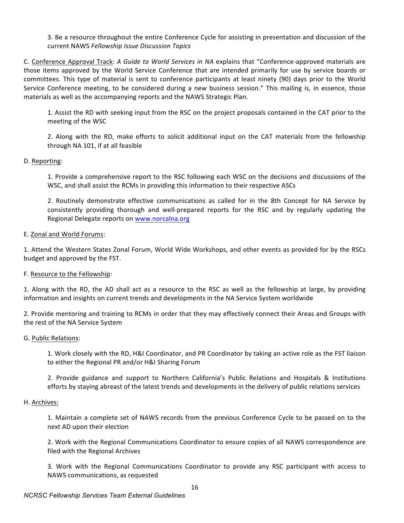3. Be a resource throughout the entire Conference Cycle for assisting in presentation and discussion of the current NAWS *Fellowship Issue Discussion Topics*

C. Conference Approval Track: *A Guide to World Services in NA* explains that "Conference-approved materials are those items approved by the World Service Conference that are intended primarily for use by service boards or committees. This type of material is sent to conference participants at least ninety (90) days prior to the World Service Conference meeting, to be considered during a new business session." This mailing is, in essence, those materials as well as the accompanying reports and the NAWS Strategic Plan.

1. Assist the RD with seeking input from the RSC on the project proposals contained in the CAT prior to the meeting of the WSC

2. Along with the RD, make efforts to solicit additional input on the CAT materials from the fellowship through NA 101, if at all feasible

## D. Reporting:

1. Provide a comprehensive report to the RSC following each WSC on the decisions and discussions of the WSC, and shall assist the RCMs in providing this information to their respective ASCs

2. Routinely demonstrate effective communications as called for in the 8th Concept for NA Service by consistently providing thorough and well-prepared reports for the RSC and by regularly updating the Regional Delegate reports on www.norcalna.org

## E. Zonal and World Forums:

1. Attend the Western States Zonal Forum, World Wide Workshops, and other events as provided for by the RSCs budget and approved by the FST.

#### F. Resource to the Fellowship:

1. Along with the RD, the AD shall act as a resource to the RSC as well as the fellowship at large, by providing information and insights on current trends and developments in the NA Service System worldwide

2. Provide mentoring and training to RCMs in order that they may effectively connect their Areas and Groups with the rest of the NA Service System

#### G. Public Relations:

1. Work closely with the RD, H&I Coordinator, and PR Coordinator by taking an active role as the FST liaison to either the Regional PR and/or H&I Sharing Forum

2. Provide guidance and support to Northern California's Public Relations and Hospitals & Institutions efforts by staying abreast of the latest trends and developments in the delivery of public relations services

#### H. Archives:

1. Maintain a complete set of NAWS records from the previous Conference Cycle to be passed on to the next AD upon their election

2. Work with the Regional Communications Coordinator to ensure copies of all NAWS correspondence are filed with the Regional Archives

3. Work with the Regional Communications Coordinator to provide any RSC participant with access to NAWS communications, as requested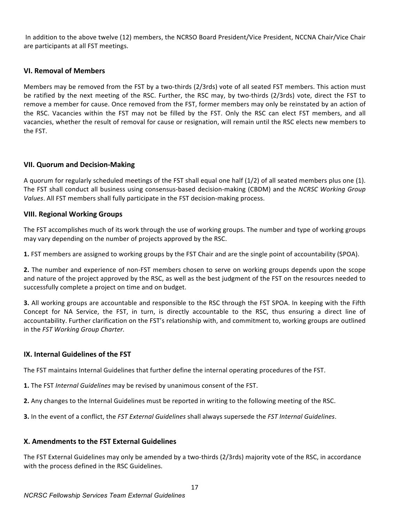In addition to the above twelve (12) members, the NCRSO Board President/Vice President, NCCNA Chair/Vice Chair are participants at all FST meetings.

## **VI. Removal of Members**

Members may be removed from the FST by a two-thirds (2/3rds) vote of all seated FST members. This action must be ratified by the next meeting of the RSC. Further, the RSC may, by two-thirds (2/3rds) vote, direct the FST to remove a member for cause. Once removed from the FST, former members may only be reinstated by an action of the RSC. Vacancies within the FST may not be filled by the FST. Only the RSC can elect FST members, and all vacancies, whether the result of removal for cause or resignation, will remain until the RSC elects new members to the FST.

## **VII. Quorum and Decision-Making**

A quorum for regularly scheduled meetings of the FST shall equal one half  $(1/2)$  of all seated members plus one  $(1)$ . The FST shall conduct all business using consensus-based decision-making (CBDM) and the *NCRSC Working Group Values*. All FST members shall fully participate in the FST decision-making process.

## **VIII. Regional Working Groups**

The FST accomplishes much of its work through the use of working groups. The number and type of working groups may vary depending on the number of projects approved by the RSC.

**1.** FST members are assigned to working groups by the FST Chair and are the single point of accountability (SPOA).

**2.** The number and experience of non-FST members chosen to serve on working groups depends upon the scope and nature of the project approved by the RSC, as well as the best judgment of the FST on the resources needed to successfully complete a project on time and on budget.

**3.** All working groups are accountable and responsible to the RSC through the FST SPOA. In keeping with the Fifth Concept for NA Service, the FST, in turn, is directly accountable to the RSC, thus ensuring a direct line of accountability. Further clarification on the FST's relationship with, and commitment to, working groups are outlined in the *FST Working Group Charter.* 

## **IX.** Internal Guidelines of the FST

The FST maintains Internal Guidelines that further define the internal operating procedures of the FST.

- **1.** The FST *Internal Guidelines* may be revised by unanimous consent of the FST.
- **2.** Any changes to the Internal Guidelines must be reported in writing to the following meeting of the RSC.

**3.** In the event of a conflict, the *FST External Guidelines* shall always supersede the *FST Internal Guidelines*.

## **X. Amendments to the FST External Guidelines**

The FST External Guidelines may only be amended by a two-thirds (2/3rds) majority vote of the RSC, in accordance with the process defined in the RSC Guidelines.